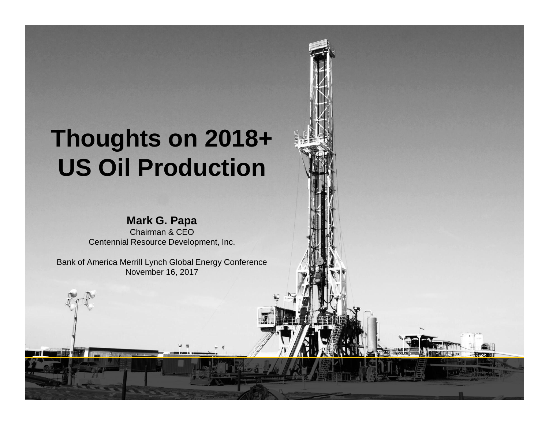# **Thoughts on 2018+ US Oil Production**

#### **Mark G. Papa**

Chairman & CEO Centennial Resource Development, Inc.

Bank of America Merrill Lynch Global Energy Conference November 16, 2017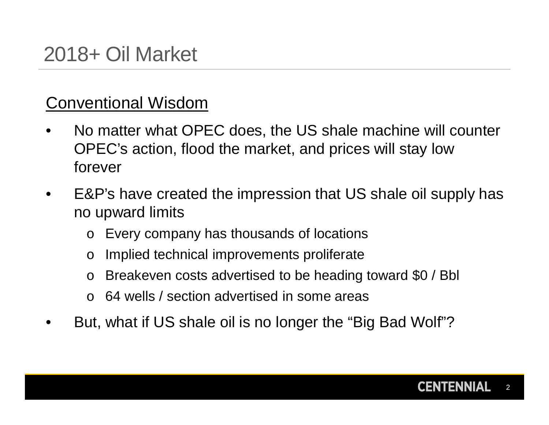### Conventional Wisdom

- No matter what OPEC does, the US shale machine will counter OPEC's action, flood the market, and prices will stay low forever
- E&P's have created the impression that US shale oil supply has no upward limits
	- o Every company has thousands of locations
	- o Implied technical improvements proliferate
	- o Breakeven costs advertised to be heading toward \$0 / Bbl
	- 64 wells / section advertised in some areas
- But, what if US shale oil is no longer the "Big Bad Wolf"?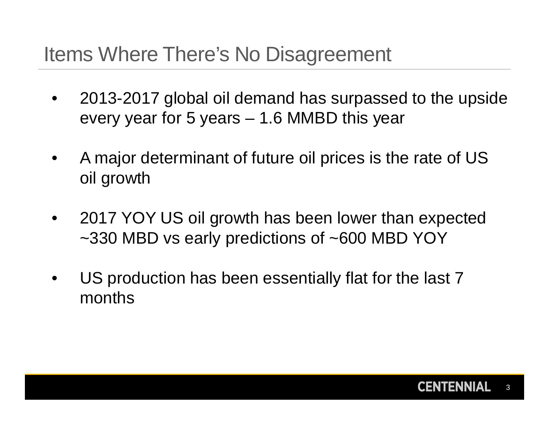## Items Where There's No Disagreement

- 2013-2017 global oil demand has surpassed to the upside every year for 5 years – 1.6 MMBD this year
- A major determinant of future oil prices is the rate of US oil growth
- 2017 YOY US oil growth has been lower than expected ~330 MBD vs early predictions of ~600 MBD YOY
- US production has been essentially flat for the last 7 months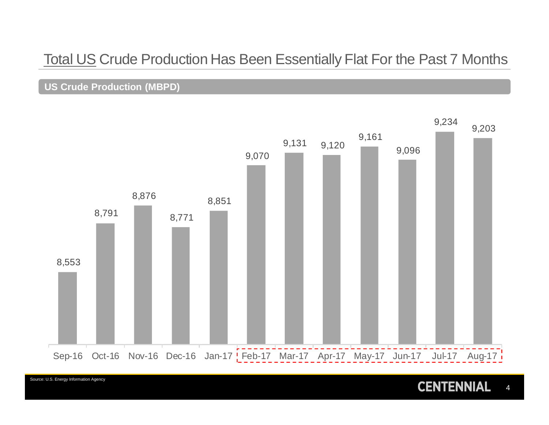### Total US Crude Production Has Been Essentially Flat For the Past 7 Months

#### **US Crude Production (MBPD)**

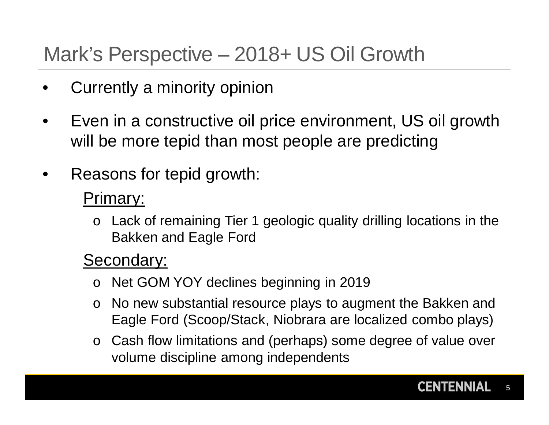## Mark's Perspective – 2018+ US Oil Growth

- Currently a minority opinion
- Even in a constructive oil price environment, US oil growth will be more tepid than most people are predicting
- Reasons for tepid growth:

### Primary:

o Lack of remaining Tier 1 geologic quality drilling locations in the Bakken and Eagle Ford

### Secondary:

- o Net GOM YOY declines beginning in 2019
- o No new substantial resource plays to augment the Bakken and Eagle Ford (Scoop/Stack, Niobrara are localized combo plays)
- o Cash flow limitations and (perhaps) some degree of value over volume discipline among independents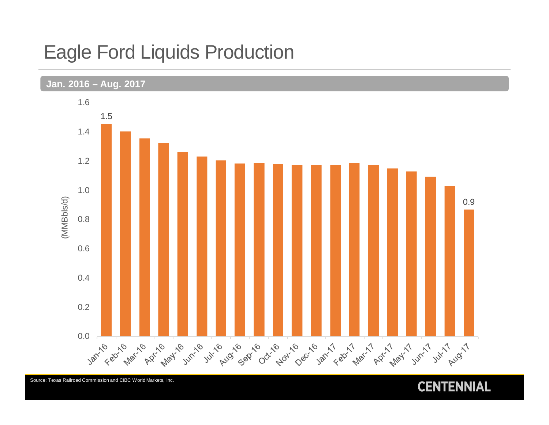### Eagle Ford Liquids Production



Source: Texas Railroad Commission and CIBC World Markets, Inc.

#### **CENTENNIAL**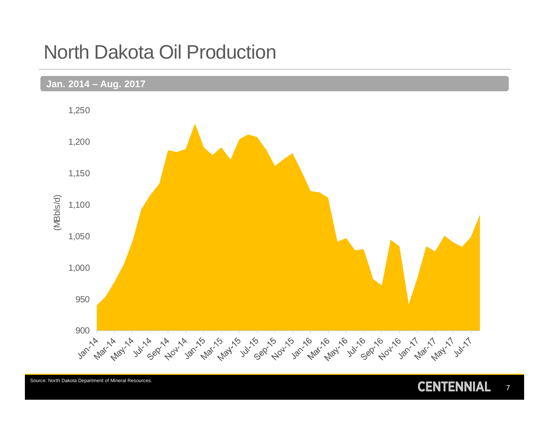### North Dakota Oil Production



Source: North Dakota Department of Mineral Resources.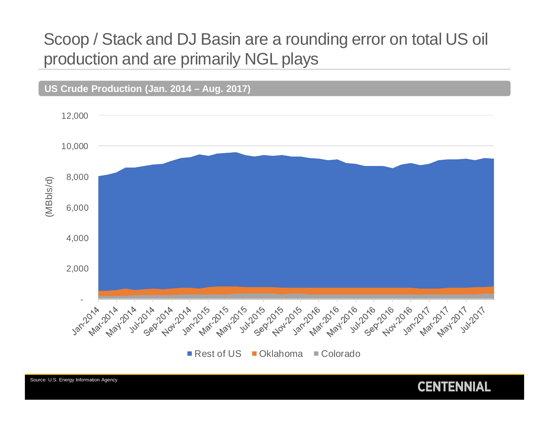### Scoop / Stack and DJ Basin are a rounding error on total US oil production and are primarily NGL plays



Source: U.S. Energy Information Agency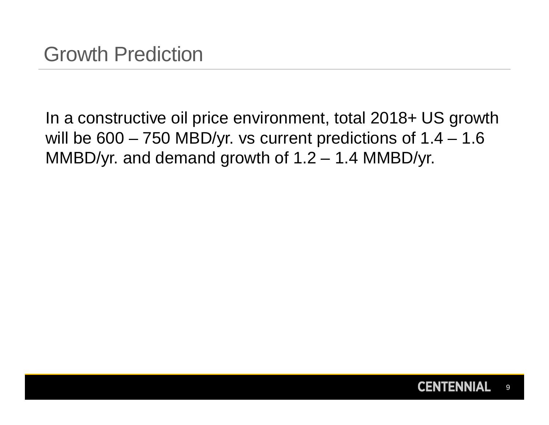In a constructive oil price environment, total 2018+ US growth will be 600 - 750 MBD/yr. vs current predictions of 1.4 - 1.6 MMBD/yr. and demand growth of 1.2 – 1.4 MMBD/yr.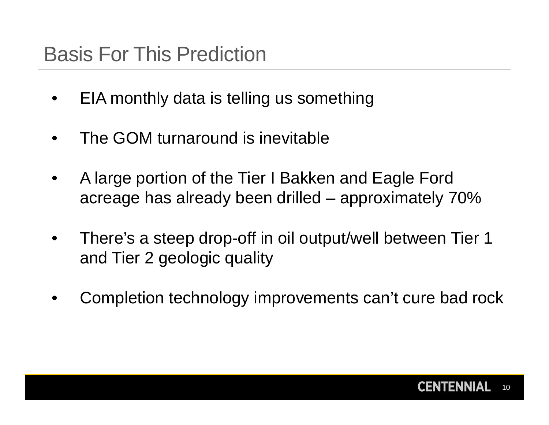## Basis For This Prediction

- EIA monthly data is telling us something
- The GOM turnaround is inevitable
- A large portion of the Tier I Bakken and Eagle Ford acreage has already been drilled – approximately 70%
- There's a steep drop-off in oil output/well between Tier 1 and Tier 2 geologic quality
- Completion technology improvements can't cure bad rock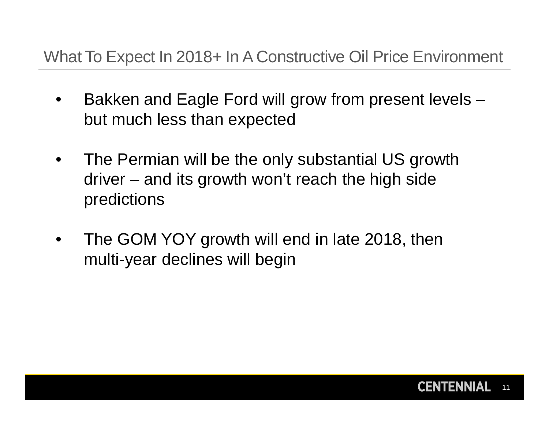### What To Expect In 2018+ In A Constructive Oil Price Environment

- Bakken and Eagle Ford will grow from present levels but much less than expected
- The Permian will be the only substantial US growth driver – and its growth won't reach the high side predictions
- The GOM YOY growth will end in late 2018, then multi-year declines will begin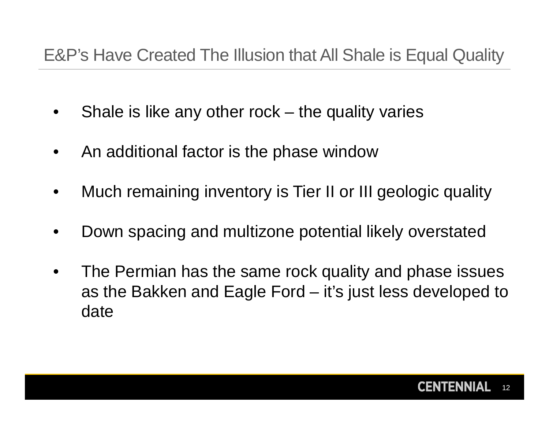### E&P's Have Created The Illusion that All Shale is Equal Quality

- Shale is like any other rock the quality varies
- An additional factor is the phase window
- Much remaining inventory is Tier II or III geologic quality
- Down spacing and multizone potential likely overstated
- The Permian has the same rock quality and phase issues as the Bakken and Eagle Ford – it's just less developed to date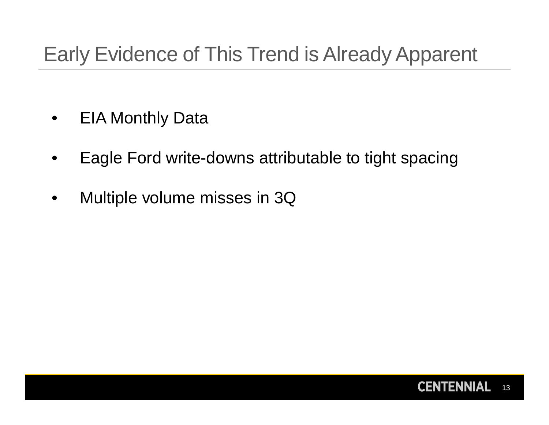## Early Evidence of This Trend is Already Apparent

- EIA Monthly Data
- Eagle Ford write-downs attributable to tight spacing
- Multiple volume misses in 3Q

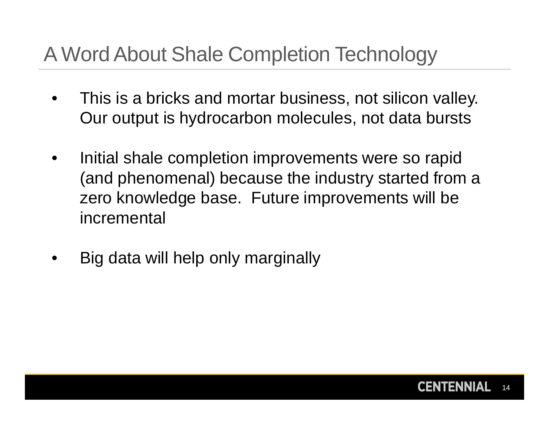## A Word About Shale Completion Technology

- This is a bricks and mortar business, not silicon valley. Our output is hydrocarbon molecules, not data bursts
- Initial shale completion improvements were so rapid (and phenomenal) because the industry started from a zero knowledge base. Future improvements will be incremental
- Big data will help only marginally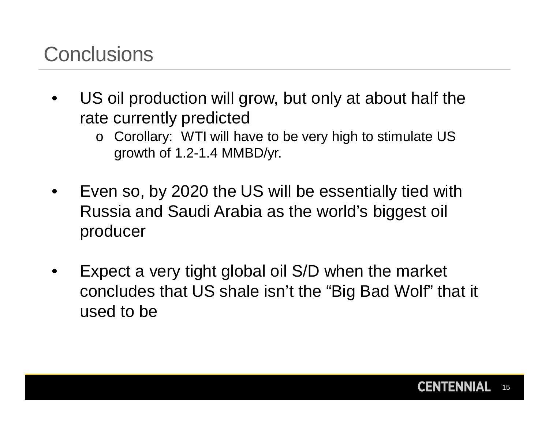## **Conclusions**

- US oil production will grow, but only at about half the rate currently predicted
	- o Corollary: WTI will have to be very high to stimulate US growth of 1.2-1.4 MMBD/yr.
- Even so, by 2020 the US will be essentially tied with Russia and Saudi Arabia as the world's biggest oil producer
- Expect a very tight global oil S/D when the market concludes that US shale isn't the "Big Bad Wolf" that it used to be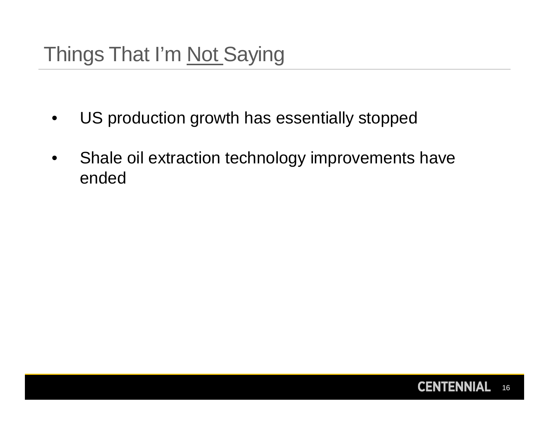- US production growth has essentially stopped
- Shale oil extraction technology improvements have ended

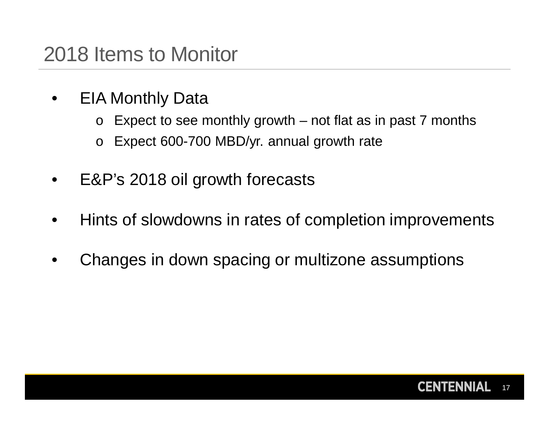- EIA Monthly Data
	- $\circ$  Expect to see monthly growth not flat as in past 7 months
	- o Expect 600-700 MBD/yr. annual growth rate
- E&P's 2018 oil growth forecasts
- Hints of slowdowns in rates of completion improvements
- Changes in down spacing or multizone assumptions